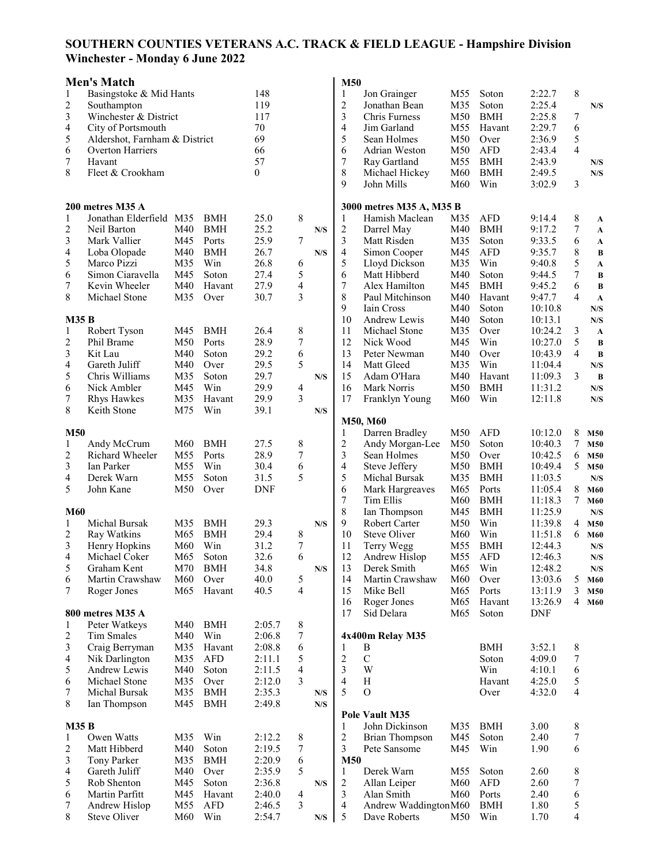## **SOUTHERN COUNTIES VETERANS A.C. TRACK & FIELD LEAGUE - Hampshire Division Winchester - Monday 6 June 2022**

|                | <b>Men's Match</b>            |                                    |              |              |                |             | M50                          |                                  |                 |                    |                    |                |                  |
|----------------|-------------------------------|------------------------------------|--------------|--------------|----------------|-------------|------------------------------|----------------------------------|-----------------|--------------------|--------------------|----------------|------------------|
| 1              | Basingstoke & Mid Hants       |                                    |              | 148          |                |             | $\mathbf{1}$                 | Jon Grainger                     | M <sub>55</sub> | Soton              | 2:22.7             | 8              |                  |
| $\overline{c}$ | Southampton                   |                                    |              | 119          |                |             | $\overline{2}$               | Jonathan Bean                    | M35             | Soton              | 2:25.4             |                | N/S              |
| 3              | Winchester & District         |                                    |              | 117          |                |             | 3                            | Chris Furness                    | M50             | <b>BMH</b>         | 2:25.8             | 7              |                  |
| 4              | City of Portsmouth            |                                    |              | 70           |                |             | 4                            | Jim Garland                      | M <sub>55</sub> | Havant             | 2:29.7             | 6              |                  |
| 5              | Aldershot, Farnham & District |                                    |              | 69           |                |             | 5                            | Sean Holmes                      | M50             | Over               | 2:36.9             | 5              |                  |
| 6              | <b>Overton Harriers</b>       |                                    |              | 66           |                |             | 6                            | Adrian Weston                    | M50             | <b>AFD</b>         | 2:43.4             | $\overline{4}$ |                  |
| 7              | Havant                        |                                    |              | 57           |                |             | 7                            | Ray Gartland                     | M55             | <b>BMH</b>         | 2:43.9             |                | N/S              |
| 8              | Fleet & Crookham              |                                    |              | $\theta$     |                |             | 8                            | Michael Hickey                   | M60             | <b>BMH</b>         | 2:49.5             |                | N/S              |
|                |                               |                                    |              |              |                |             | 9                            | John Mills                       | M60             | Win                | 3:02.9             | 3              |                  |
|                | 200 metres M35 A              |                                    |              |              |                |             |                              | 3000 metres M35 A, M35 B         |                 |                    |                    |                |                  |
| $\mathbf{1}$   | Jonathan Elderfield M35       |                                    | <b>BMH</b>   | 25.0         | 8              |             | $\mathbf{1}$                 | Hamish Maclean                   | M35             | <b>AFD</b>         | 9:14.4             | 8              | A                |
| $\overline{c}$ | Neil Barton                   | M40                                | <b>BMH</b>   | 25.2         |                | N/S         | $\overline{c}$               | Darrel May                       | M40             | <b>BMH</b>         | 9:17.2             | 7              | A                |
| 3              | Mark Vallier                  | M45                                | Ports        | 25.9         | 7              |             | 3                            | Matt Risden                      | M35             | Soton              | 9:33.5             | 6              | A                |
| 4              | Loba Olopade                  | M40                                | <b>BMH</b>   | 26.7         |                | ${\bf N/S}$ | 4                            | Simon Cooper                     | M45             | <b>AFD</b>         | 9:35.7             | 8              | $\bf{B}$         |
| 5              | Marco Pizzi                   | M35                                | Win          | 26.8         | 6              |             | 5                            | Lloyd Dickson                    | M35             | Win                | 9:40.8             | 5              | $\mathbf A$      |
| 6              | Simon Ciaravella              | M45                                | Soton        | 27.4         | 5              |             | 6                            | Matt Hibberd                     | M40             | Soton              | 9:44.5             | 7              | $\bf{B}$         |
| 7              | Kevin Wheeler                 | M40                                | Havant       | 27.9         | $\overline{4}$ |             | 7                            | Alex Hamilton                    | M45             | <b>BMH</b>         | 9:45.2             | 6              | $\bf{B}$         |
| 8              | Michael Stone                 | M35                                | Over         | 30.7         | 3              |             | 8                            | Paul Mitchinson                  | M40             | Havant             | 9:47.7             | $\overline{4}$ | $\boldsymbol{A}$ |
|                |                               |                                    |              |              |                |             | 9                            | Iain Cross                       | M40             | Soton              | 10:10.8            |                | N/S              |
| M35B           |                               |                                    |              |              |                |             | 10                           | Andrew Lewis                     | M40             | Soton              | 10:13.1            |                | N/S              |
| $\mathbf{1}$   | Robert Tyson                  | M45                                | <b>BMH</b>   | 26.4         | $\,$ 8 $\,$    |             | 11                           | Michael Stone                    | M35             | Over               | 10:24.2            | 3              | $\mathbf{A}$     |
| 2              | Phil Brame                    | M50                                | Ports        | 28.9         | 7              |             | 12                           | Nick Wood                        | M45             | Win                | 10:27.0            | 5              | $\bf{B}$         |
| 3              | Kit Lau                       | M40                                | Soton        | 29.2         | 6              |             | 13                           | Peter Newman                     | M40             | Over               | 10:43.9            | 4              | $\bf{B}$         |
| 4              | Gareth Juliff                 | M40                                | Over         | 29.5         | 5              |             | 14                           | Matt Gleed                       | M35             | Win                | 11:04.4            |                | N/S              |
| 5              | Chris Williams                | M35                                | Soton        | 29.7         |                | N/S         | 15                           | Adam O'Hara                      | M40             | Havant             | 11:09.3            | 3              | $\bf{B}$         |
| 6              | Nick Ambler                   | M45                                | Win          | 29.9         | 4              |             | 16                           | Mark Norris                      | M50             | <b>BMH</b>         | 11:31.2            |                | N/S              |
| 7              | Rhys Hawkes                   | M35                                | Havant       | 29.9         | 3              |             | 17                           | Franklyn Young                   | M60             | Win                | 12:11.8            |                | N/S              |
| 8              | Keith Stone                   | M75                                | Win          | 39.1         |                | N/S         |                              |                                  |                 |                    |                    |                |                  |
|                |                               |                                    |              |              |                |             |                              | <b>M50, M60</b>                  |                 |                    |                    |                |                  |
| M50            |                               |                                    |              |              |                |             | 1                            | Darren Bradley                   | M50             | <b>AFD</b>         | 10:12.0            | 8              | M50              |
| 1              | Andy McCrum                   | M60                                | <b>BMH</b>   | 27.5         | 8              |             | 2<br>$\overline{\mathbf{3}}$ | Andy Morgan-Lee                  | M50             | Soton              | 10:40.3            | 7              | M50              |
| 2<br>3         | Richard Wheeler<br>Ian Parker | M <sub>55</sub><br>M <sub>55</sub> | Ports<br>Win | 28.9         | 7              |             |                              | Sean Holmes                      | M50             | Over<br><b>BMH</b> | 10:42.5            | 6<br>5         | M50              |
| 4              | Derek Warn                    | M <sub>55</sub>                    | Soton        | 30.4<br>31.5 | 6<br>5         |             | 4<br>5                       | Steve Jeffery<br>Michal Bursak   | M50<br>M35      | <b>BMH</b>         | 10:49.4<br>11:03.5 |                | M50<br>N/S       |
| 5              | John Kane                     | M50                                | Over         | <b>DNF</b>   |                |             | 6                            | Mark Hargreaves                  | M65             | Ports              | 11:05.4            | 8              | M60              |
|                |                               |                                    |              |              |                |             | 7                            | Tim Ellis                        | M60             | <b>BMH</b>         | 11:18.3            | 7              | M60              |
| <b>M60</b>     |                               |                                    |              |              |                |             | $\,$ 8 $\,$                  | Ian Thompson                     | M45             | <b>BMH</b>         | 11:25.9            |                | N/S              |
| 1              | Michal Bursak                 | M35                                | <b>BMH</b>   | 29.3         |                | N/S         | 9                            | <b>Robert Carter</b>             | M50             | Win                | 11:39.8            | 4              | M50              |
| $\overline{c}$ | Ray Watkins                   | M65                                | <b>BMH</b>   | 29.4         | 8              |             | 10                           | Steve Oliver                     | M60             | Win                | 11:51.8            | 6              | M60              |
| 3              | Henry Hopkins                 | M <sub>60</sub>                    | Win          | 31.2         | 7              |             | 11                           | Terry Wegg                       | M <sub>55</sub> | <b>BMH</b>         | 12:44.3            |                | N/S              |
| 4              | Michael Coker                 | M65                                | Soton        | 32.6         | 6              |             | 12                           | Andrew Hislop                    | M55             | <b>AFD</b>         | 12:46.3            |                | N/S              |
| 5              | Graham Kent                   | M70                                | <b>BMH</b>   | 34.8         |                | N/S         | 13                           | Derek Smith                      | M65             | Win                | 12:48.2            |                | N/S              |
| 6              | Martin Crawshaw               | M60                                | Over         | 40.0         | 5              |             | 14                           | Martin Crawshaw                  | M60             | Over               | 13:03.6            | 5              | M60              |
| 7              | Roger Jones                   | M65                                | Havant       | 40.5         | $\overline{4}$ |             | 15                           | Mike Bell                        | M <sub>65</sub> | Ports              | 13:11.9            | 3              | M50              |
|                |                               |                                    |              |              |                |             | 16                           | Roger Jones                      | M65             | Havant             | 13:26.9            | 4              | M60              |
|                | 800 metres M35 A              |                                    |              |              |                |             | 17                           | Sid Delara                       | M65             | Soton              | <b>DNF</b>         |                |                  |
| 1              | Peter Watkeys                 | M40                                | <b>BMH</b>   | 2:05.7       | 8              |             |                              |                                  |                 |                    |                    |                |                  |
| 2              | Tim Smales                    | M40                                | Win          | 2:06.8       | 7              |             |                              | 4x400m Relay M35                 |                 |                    |                    |                |                  |
| 3              | Craig Berryman                | M35                                | Havant       | 2:08.8       | 6              |             | 1                            | B                                |                 | <b>BMH</b>         | 3:52.1             | 8              |                  |
| 4              | Nik Darlington                | M35                                | <b>AFD</b>   | 2:11.1       | 5              |             | $\overline{2}$               | $\mathcal{C}$                    |                 | Soton              | 4:09.0             | 7              |                  |
| 5              | Andrew Lewis                  | M40                                | Soton        | 2:11.5       | $\overline{4}$ |             | 3                            | W                                |                 | Win                | 4:10.1             | 6              |                  |
| 6              | Michael Stone                 | M35                                | Over         | 2:12.0       | 3              |             | $\overline{4}$               | H                                |                 | Havant             | 4:25.0             | 5              |                  |
| 7              | Michal Bursak                 | M35                                | <b>BMH</b>   | 2:35.3       |                | N/S         | 5                            | $\mathcal{O}$                    |                 | Over               | 4:32.0             | $\overline{4}$ |                  |
| 8              | Ian Thompson                  | M45                                | <b>BMH</b>   | 2:49.8       |                | N/S         |                              |                                  |                 |                    |                    |                |                  |
| M35B           |                               |                                    |              |              |                |             | 1                            | Pole Vault M35<br>John Dickinson | M35             | <b>BMH</b>         | 3.00               |                |                  |
| 1              | Owen Watts                    | M35                                | Win          | 2:12.2       | 8              |             | $\overline{c}$               | <b>Brian Thompson</b>            | M45             | Soton              | 2.40               | 8<br>7         |                  |
| 2              | Matt Hibberd                  | M40                                | Soton        | 2:19.5       | $\tau$         |             | 3                            | Pete Sansome                     | M45             | Win                | 1.90               | 6              |                  |
| 3              | Tony Parker                   | M35                                | <b>BMH</b>   | 2:20.9       | 6              |             | <b>M50</b>                   |                                  |                 |                    |                    |                |                  |
| 4              | Gareth Juliff                 | M40                                | Over         | 2:35.9       | 5              |             | 1                            | Derek Warn                       | M55             | Soton              | 2.60               | 8              |                  |
| 5              | Rob Shenton                   | M45                                | Soton        | 2:36.8       |                | N/S         | 2                            | Allan Leiper                     | M60             | <b>AFD</b>         | 2.60               | 7              |                  |
| 6              | Martin Parfitt                | M45                                | Havant       | 2:40.0       | $\overline{4}$ |             | 3                            | Alan Smith                       | M60             | Ports              | 2.40               | 6              |                  |
| 7              | Andrew Hislop                 | M55                                | AFD          | 2:46.5       | $\overline{3}$ |             | 4                            | Andrew WaddingtonM60             |                 | <b>BMH</b>         | 1.80               | 5              |                  |
| 8              | Steve Oliver                  | M60                                | Win          | 2:54.7       |                | ${\bf N/S}$ | 5                            | Dave Roberts                     | M50             | Win                | 1.70               | $\overline{4}$ |                  |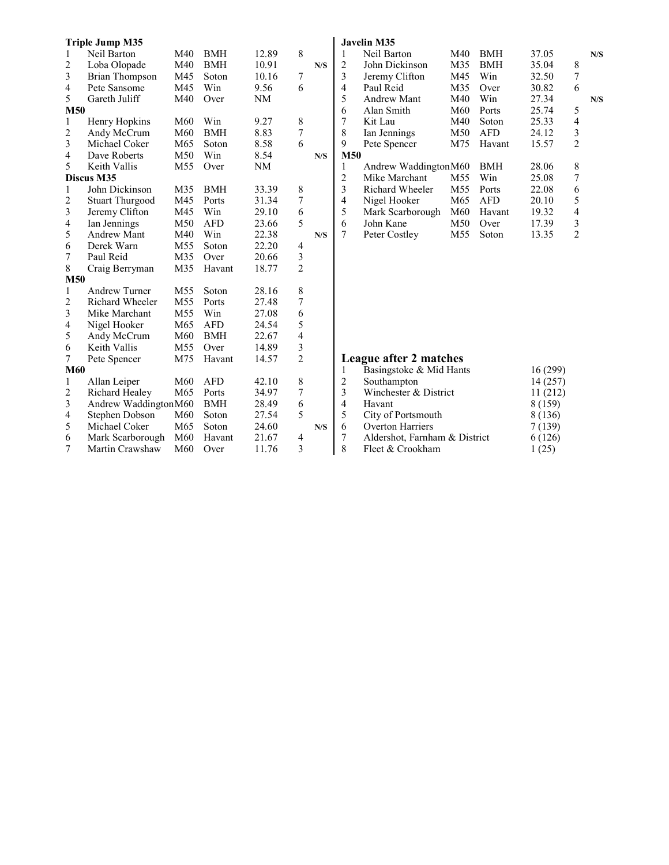|                | <b>Triple Jump M35</b> |                 |            |       |                |     |                | <b>Javelin M35</b>            |                 |            |         |                |     |
|----------------|------------------------|-----------------|------------|-------|----------------|-----|----------------|-------------------------------|-----------------|------------|---------|----------------|-----|
| 1              | Neil Barton            | M40             | <b>BMH</b> | 12.89 | 8              |     | 1              | Neil Barton                   | M40             | <b>BMH</b> | 37.05   |                | N/S |
| 2              | Loba Olopade           | M40             | <b>BMH</b> | 10.91 |                | N/S | 2              | John Dickinson                | M35             | <b>BMH</b> | 35.04   | 8              |     |
| 3              | Brian Thompson         | M45             | Soton      | 10.16 | 7              |     | 3              | Jeremy Clifton                | M45             | Win        | 32.50   | 7              |     |
| $\overline{4}$ | Pete Sansome           | M45             | Win        | 9.56  | 6              |     | 4              | Paul Reid                     | M35             | Over       | 30.82   | 6              |     |
| 5              | Gareth Juliff          | M40             | Over       | NΜ    |                |     | 5              | <b>Andrew Mant</b>            | M40             | Win        | 27.34   |                | N/S |
| <b>M50</b>     |                        |                 |            |       |                |     | 6              | Alan Smith                    | M60             | Ports      | 25.74   | 5              |     |
| 1              | Henry Hopkins          | M60             | Win        | 9.27  | 8              |     | 7              | Kit Lau                       | M40             | Soton      | 25.33   | 4              |     |
| $\overline{2}$ | Andy McCrum            | M60             | <b>BMH</b> | 8.83  | 7              |     | 8              | Ian Jennings                  | M50             | <b>AFD</b> | 24.12   | 3              |     |
| 3              | Michael Coker          | M65             | Soton      | 8.58  | 6              |     | 9              | Pete Spencer                  | M75             | Havant     | 15.57   | $\overline{2}$ |     |
| 4              | Dave Roberts           | M50             | Win        | 8.54  |                | N/S | <b>M50</b>     |                               |                 |            |         |                |     |
| 5              | Keith Vallis           | M <sub>55</sub> | Over       | NM    |                |     | 1              | Andrew WaddingtonM60          |                 | <b>BMH</b> | 28.06   | 8              |     |
|                | Discus M35             |                 |            |       |                |     | $\overline{c}$ | Mike Marchant                 | M <sub>55</sub> | Win        | 25.08   | 7              |     |
| 1              | John Dickinson         | M35             | <b>BMH</b> | 33.39 | 8              |     | 3              | Richard Wheeler               | M <sub>55</sub> | Ports      | 22.08   | 6              |     |
| 2              | <b>Stuart Thurgood</b> | M45             | Ports      | 31.34 | $\overline{7}$ |     | 4              | Nigel Hooker                  | M <sub>65</sub> | <b>AFD</b> | 20.10   | 5              |     |
| 3              | Jeremy Clifton         | M45             | Win        | 29.10 | 6              |     | 5              | Mark Scarborough              | M60             | Havant     | 19.32   | $\overline{4}$ |     |
| 4              | Ian Jennings           | M50             | <b>AFD</b> | 23.66 | 5              |     | 6              | John Kane                     | M50             | Over       | 17.39   | 3              |     |
| 5              | <b>Andrew Mant</b>     | M40             | Win        | 22.38 |                | N/S | 7              | Peter Costley                 | M <sub>55</sub> | Soton      | 13.35   | $\overline{2}$ |     |
| 6              | Derek Warn             | M <sub>55</sub> | Soton      | 22.20 | 4              |     |                |                               |                 |            |         |                |     |
| 7              | Paul Reid              | M35             | Over       | 20.66 | 3              |     |                |                               |                 |            |         |                |     |
| 8              | Craig Berryman         | M35             | Havant     | 18.77 | $\overline{c}$ |     |                |                               |                 |            |         |                |     |
| <b>M50</b>     |                        |                 |            |       |                |     |                |                               |                 |            |         |                |     |
| 1              | Andrew Turner          | M <sub>55</sub> | Soton      | 28.16 | 8              |     |                |                               |                 |            |         |                |     |
| 2              | Richard Wheeler        | M <sub>55</sub> | Ports      | 27.48 | $\overline{7}$ |     |                |                               |                 |            |         |                |     |
| 3              | Mike Marchant          | M <sub>55</sub> | Win        | 27.08 | 6              |     |                |                               |                 |            |         |                |     |
| 4              | Nigel Hooker           | M65             | <b>AFD</b> | 24.54 | 5              |     |                |                               |                 |            |         |                |     |
| 5              | Andy McCrum            | M60             | <b>BMH</b> | 22.67 | 4              |     |                |                               |                 |            |         |                |     |
| 6              | Keith Vallis           | M <sub>55</sub> | Over       | 14.89 | 3              |     |                |                               |                 |            |         |                |     |
| 7              | Pete Spencer           | M75             | Havant     | 14.57 | $\overline{c}$ |     |                | League after 2 matches        |                 |            |         |                |     |
| <b>M60</b>     |                        |                 |            |       |                |     | 1              | Basingstoke & Mid Hants       |                 |            | 16(299) |                |     |
| 1              | Allan Leiper           | M60             | <b>AFD</b> | 42.10 | 8              |     | 2              | Southampton                   |                 |            | 14(257) |                |     |
| 2              | Richard Healey         | M65             | Ports      | 34.97 | $\overline{7}$ |     | 3              | Winchester & District         |                 |            | 11(212) |                |     |
| 3              | Andrew WaddingtonM60   |                 | <b>BMH</b> | 28.49 | 6              |     | $\overline{4}$ | Havant                        |                 |            | 8 (159) |                |     |
| 4              | Stephen Dobson         | M60             | Soton      | 27.54 | 5              |     | 5              | City of Portsmouth            |                 |            | 8 (136) |                |     |
| 5              | Michael Coker          | M <sub>65</sub> | Soton      | 24.60 |                | N/S | 6              | <b>Overton Harriers</b>       |                 |            | 7 (139) |                |     |
| 6              | Mark Scarborough       | M60             | Havant     | 21.67 | 4              |     | 7              | Aldershot, Farnham & District |                 |            | 6 (126) |                |     |
| 7              | Martin Crawshaw        | M60             | Over       | 11.76 | 3              |     | 8              | Fleet & Crookham              |                 |            | 1(25)   |                |     |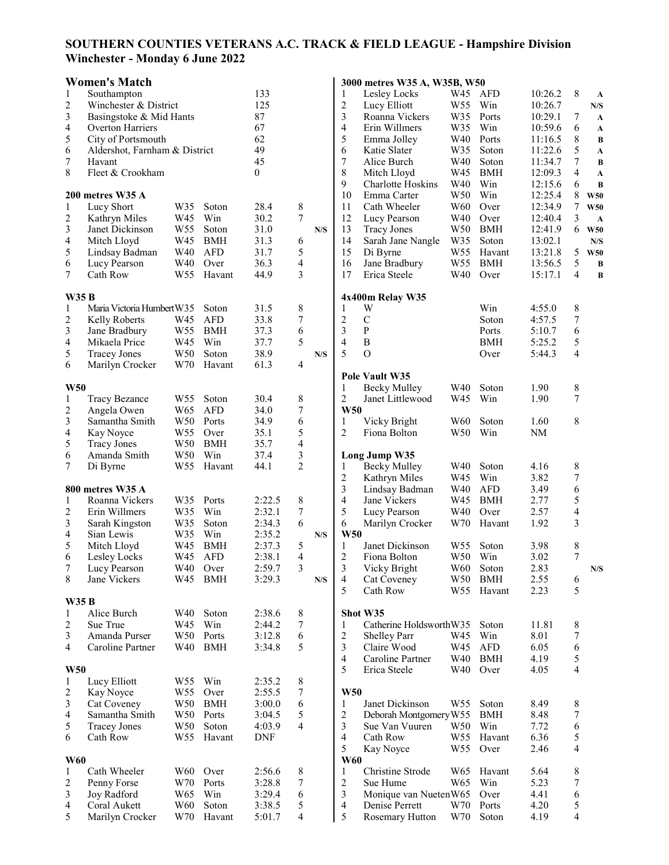## **SOUTHERN COUNTIES VETERANS A.C. TRACK & FIELD LEAGUE - Hampshire Division Winchester - Monday 6 June 2022**

|                         | <b>Women's Match</b>                    |                                    |                    |                  |                |             | 3000 metres W35 A, W35B, W50                                                                   |                          |                  |
|-------------------------|-----------------------------------------|------------------------------------|--------------------|------------------|----------------|-------------|------------------------------------------------------------------------------------------------|--------------------------|------------------|
| $\mathbf{1}$            | Southampton                             |                                    |                    | 133              |                |             | 1<br>Lesley Locks<br>W45<br>AFD<br>10:26.2                                                     | 8                        | A                |
| $\overline{2}$          | Winchester & District                   |                                    |                    | 125              |                |             | $\overline{2}$<br>W <sub>55</sub><br>Win<br>10:26.7<br>Lucy Elliott                            |                          | N/S              |
| $\mathfrak{Z}$          | Basingstoke & Mid Hants                 |                                    |                    | 87               |                |             | 3<br>W35<br>Ports<br>10:29.1<br>Roanna Vickers                                                 | 7                        | $\mathbf{A}$     |
| 4                       | Overton Harriers                        |                                    |                    | 67               |                |             | 4<br>Erin Willmers<br>W35<br>Win<br>10:59.6                                                    | 6                        | $\mathbf A$      |
| 5                       | City of Portsmouth                      |                                    |                    | 62               |                |             | 5<br>W40<br>Ports<br>Emma Jolley<br>11:16.5                                                    | 8                        | B                |
| 6<br>$\boldsymbol{7}$   | Aldershot, Farnham & District<br>Havant |                                    |                    | 49<br>45         |                |             | 6<br>Katie Slater<br>W35<br>Soton<br>11:22.6<br>7<br>Alice Burch<br>W40<br>Soton<br>11:34.7    | 5<br>7                   | $\mathbf A$<br>B |
| 8                       | Fleet & Crookham                        |                                    |                    | $\theta$         |                |             | 8<br>W45<br><b>BMH</b><br>Mitch Lloyd<br>12:09.3                                               | $\overline{4}$           | $\mathbf{A}$     |
|                         |                                         |                                    |                    |                  |                |             | 9<br>Charlotte Hoskins<br>W40<br>Win<br>12:15.6                                                | 6                        | $\bf{B}$         |
|                         | 200 metres W35 A                        |                                    |                    |                  |                |             | 10<br>Win<br>W <sub>50</sub><br>Emma Carter<br>12:25.4                                         | 8                        | <b>W50</b>       |
| $\mathbf{1}$            | Lucy Short                              | W35                                | Soton              | 28.4             | $\,8\,$        |             | 11<br>Over<br>12:34.9<br>Cath Wheeler<br>W60                                                   | 7                        | <b>W50</b>       |
| $\overline{c}$          | Kathryn Miles                           | W45                                | Win                | 30.2             | 7              |             | 12<br>Lucy Pearson<br>W40<br>Over<br>12:40.4                                                   | 3                        | $\mathbf{A}$     |
| $\overline{3}$          | Janet Dickinson                         | W <sub>55</sub>                    | Soton              | 31.0             |                | N/S         | 13<br>W <sub>50</sub><br><b>BMH</b><br><b>Tracy Jones</b><br>12:41.9                           | 6                        | <b>W50</b>       |
| 4                       | Mitch Lloyd                             | W45                                | <b>BMH</b>         | 31.3             | 6              |             | 14<br>Sarah Jane Nangle<br>W35<br>Soton<br>13:02.1                                             |                          | N/S              |
| 5                       | Lindsay Badman                          | W40                                | <b>AFD</b>         | 31.7             | 5              |             | 15<br>W <sub>55</sub><br>Di Byrne<br>Havant<br>13:21.8                                         | 5                        | <b>W50</b>       |
| 6                       | Lucy Pearson                            | W40                                | Over               | 36.3             | 4              |             | 16<br>W <sub>55</sub><br>Jane Bradbury<br><b>BMH</b><br>13:56.5                                | 5                        | B                |
| 7                       | Cath Row                                | W <sub>55</sub>                    | Havant             | 44.9             | 3              |             | 17<br>Erica Steele<br>W40<br>Over<br>15:17.1                                                   | $\overline{4}$           | $\bf{B}$         |
| <b>W35 B</b>            |                                         |                                    |                    |                  |                |             | 4x400m Relay W35                                                                               |                          |                  |
| $\mathbf{1}$            | Maria Victoria Humbert W35              |                                    | Soton              | 31.5             | 8              |             | 1<br>W<br>Win<br>4:55.0                                                                        | $8\,$                    |                  |
| 2                       | Kelly Roberts                           | W45                                | <b>AFD</b>         | 33.8             | 7              |             | $\overline{2}$<br>$\mathbf C$<br>Soton<br>4:57.5                                               | 7                        |                  |
| 3                       | Jane Bradbury                           | W <sub>55</sub>                    | <b>BMH</b>         | 37.3             | 6              |             | ${\bf P}$<br>3<br>Ports<br>5:10.7                                                              | 6                        |                  |
| $\overline{4}$          | Mikaela Price                           | W45<br>W <sub>50</sub>             | Win                | 37.7             | 5              |             | $\mathbf B$<br>$\overline{4}$<br><b>BMH</b><br>5:25.2<br>$\overline{O}$<br>5                   | 5<br>4                   |                  |
| 5<br>6                  | <b>Tracey Jones</b><br>Marilyn Crocker  | W70                                | Soton<br>Havant    | 38.9<br>61.3     | $\overline{4}$ | ${\bf N/S}$ | Over<br>5:44.3                                                                                 |                          |                  |
|                         |                                         |                                    |                    |                  |                |             | <b>Pole Vault W35</b>                                                                          |                          |                  |
| <b>W50</b>              |                                         |                                    |                    |                  |                |             | Soton<br>1.90<br>1<br><b>Becky Mulley</b><br>W40                                               | $8\,$                    |                  |
| $\mathbf{1}$            | <b>Tracy Bezance</b>                    | W <sub>55</sub>                    | Soton              | 30.4             | 8              |             | $\overline{2}$<br>Win<br>Janet Littlewood<br>W45<br>1.90                                       | 7                        |                  |
| $\sqrt{2}$              | Angela Owen                             | W <sub>65</sub>                    | <b>AFD</b>         | 34.0             | $\overline{7}$ |             | <b>W50</b>                                                                                     |                          |                  |
| $\overline{\mathbf{3}}$ | Samantha Smith                          | W50                                | Ports              | 34.9             | 6              |             | Soton<br>1<br>Vicky Bright<br>W60<br>1.60                                                      | 8                        |                  |
| 4<br>$\sqrt{5}$         | Kay Noyce                               | W <sub>55</sub><br>W <sub>50</sub> | Over<br><b>BMH</b> | 35.1<br>35.7     | 5<br>4         |             | $\overline{2}$<br>Fiona Bolton<br>W <sub>50</sub><br>Win<br><b>NM</b>                          |                          |                  |
| 6                       | <b>Tracy Jones</b><br>Amanda Smith      | W <sub>50</sub>                    | Win                | 37.4             | 3              |             | Long Jump W35                                                                                  |                          |                  |
| 7                       | Di Byrne                                | W <sub>55</sub>                    | Havant             | 44.1             | $\overline{2}$ |             | Soton<br>1<br><b>Becky Mulley</b><br>W40<br>4.16                                               | 8                        |                  |
|                         |                                         |                                    |                    |                  |                |             | $\overline{2}$<br>Win<br>W45<br>3.82<br>Kathryn Miles                                          | $\boldsymbol{7}$         |                  |
|                         | 800 metres W35 A                        |                                    |                    |                  |                |             | 3<br><b>AFD</b><br>Lindsay Badman<br>W40<br>3.49                                               | 6                        |                  |
| 1                       | Roanna Vickers                          | W35                                | Ports              | 2:22.5           | 8              |             | $\overline{4}$<br>W45<br><b>BMH</b><br>2.77<br>Jane Vickers                                    | 5                        |                  |
| $\overline{c}$          | Erin Willmers                           | W35                                | Win                | 2:32.1           | 7              |             | 5<br>Lucy Pearson<br>W40<br>Over<br>2.57                                                       | $\overline{\mathcal{L}}$ |                  |
| $\mathfrak{Z}$          | Sarah Kingston                          | W <sub>35</sub>                    | Soton              | 2:34.3           | 6              |             | 6<br>W70<br>1.92<br>Marilyn Crocker<br>Havant                                                  | 3                        |                  |
| 4                       | Sian Lewis                              | W35                                | Win                | 2:35.2           |                | ${\bf N/S}$ | <b>W50</b>                                                                                     |                          |                  |
| 5                       | Mitch Lloyd                             | W45                                | <b>BMH</b>         | 2:37.3           | 5              |             | Janet Dickinson<br>Soton<br>1<br>W <sub>55</sub><br>3.98                                       | 8                        |                  |
| 6                       | Lesley Locks                            | W45                                | <b>AFD</b>         | 2:38.1           | 4              |             | 2<br>W <sub>50</sub><br>Win<br>3.02<br>Fiona Bolton                                            | 7                        |                  |
| 7                       | Lucy Pearson                            | W40                                | Over               | 2:59.7           | 3              |             | 3<br>Vicky Bright<br>W60<br>Soton<br>2.83                                                      |                          | N/S              |
| 8                       | Jane Vickers                            | W45                                | <b>BMH</b>         | 3:29.3           |                | N/S         | $\overline{4}$<br>Cat Coveney<br><b>BMH</b><br>2.55<br>W50                                     | 6                        |                  |
| <b>W35 B</b>            |                                         |                                    |                    |                  |                |             | 5<br>Cath Row<br>W55<br>2.23<br>Havant                                                         | 5                        |                  |
| $\mathbf{1}$            | Alice Burch                             | W40                                | Soton              | 2:38.6           | 8              |             | Shot W35                                                                                       |                          |                  |
| 2                       | Sue True                                | W45                                | Win                | 2:44.2           | 7              |             | Catherine HoldsworthW35<br>11.81<br>1<br>Soton                                                 | 8                        |                  |
| 3                       | Amanda Purser                           | W <sub>50</sub>                    | Ports              | 3:12.8           | 6              |             | 2<br>W45<br>Win<br>8.01<br><b>Shelley Parr</b>                                                 | 7                        |                  |
| 4                       | Caroline Partner                        | W40                                | <b>BMH</b>         | 3:34.8           | 5              |             | 3<br>Claire Wood<br><b>AFD</b><br>6.05<br>W45                                                  | 6                        |                  |
|                         |                                         |                                    |                    |                  |                |             | $\overline{4}$<br>Caroline Partner<br>W40<br><b>BMH</b><br>4.19                                | 5                        |                  |
| <b>W50</b>              |                                         |                                    |                    |                  |                |             | 5<br>W40<br>4.05<br>Erica Steele<br>Over                                                       | $\overline{4}$           |                  |
| $\mathbf{1}$            | Lucy Elliott                            | W <sub>55</sub>                    | Win<br>Over        | 2:35.2           | 8<br>7         |             | <b>W50</b>                                                                                     |                          |                  |
| 2<br>3                  | Kay Noyce<br>Cat Coveney                | W <sub>55</sub><br>W <sub>50</sub> | <b>BMH</b>         | 2:55.5<br>3:00.0 | 6              |             | Janet Dickinson<br>W <sub>55</sub><br>Soton<br>8.49<br>1                                       | 8                        |                  |
| 4                       | Samantha Smith                          | W50                                | Ports              | 3:04.5           | 5              |             | $\overline{2}$<br>Deborah Montgomery W55<br>8.48<br><b>BMH</b>                                 | 7                        |                  |
| 5                       | <b>Tracey Jones</b>                     | W <sub>50</sub>                    | Soton              | 4:03.9           | $\overline{4}$ |             | 3<br>Sue Van Vuuren<br>W50<br>Win<br>7.72                                                      | 6                        |                  |
| 6                       | Cath Row                                | W <sub>55</sub>                    | Havant             | <b>DNF</b>       |                |             | $\overline{4}$<br>Cath Row<br>W <sub>55</sub><br>6.36<br>Havant                                | 5                        |                  |
|                         |                                         |                                    |                    |                  |                |             | 5<br>Kay Noyce<br>W <sub>55</sub><br>2.46<br>Over                                              | $\overline{4}$           |                  |
| <b>W60</b>              |                                         |                                    |                    |                  |                |             | <b>W60</b>                                                                                     |                          |                  |
| $\mathbf{1}$            | Cath Wheeler                            | W60                                | Over               | 2:56.6           | 8              |             | Christine Strode<br>1<br>W <sub>65</sub><br>Havant<br>5.64                                     | 8                        |                  |
| 2<br>3                  | Penny Forse<br>Joy Radford              | W70<br>W65                         | Ports<br>Win       | 3:28.8<br>3:29.4 | 7<br>6         |             | Win<br>2<br>Sue Hume<br>W <sub>65</sub><br>5.23<br>3<br>Monique van Nueten W65<br>Over<br>4.41 | 7<br>6                   |                  |
| 4                       | Coral Aukett                            | W60                                | Soton              | 3:38.5           | 5              |             | Denise Perrett<br>$\overline{4}$<br>W70<br>Ports<br>4.20                                       | 5                        |                  |
| 5                       | Marilyn Crocker                         | W70                                | Havant             | 5:01.7           | $\overline{4}$ |             | 5<br>Rosemary Hutton<br>4.19<br>W70<br>Soton                                                   | $\overline{4}$           |                  |